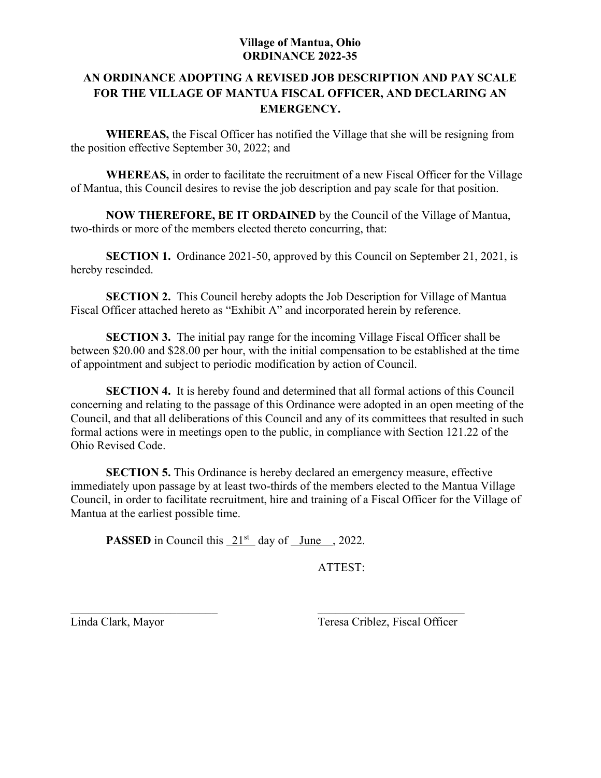# AN ORDINANCE ADOPTING A REVISED JOB DESCRIPTION AND PAY SCALE FOR THE VILLAGE OF MANTUA FISCAL OFFICER, AND DECLARING AN EMERGENCY.

WHEREAS, the Fiscal Officer has notified the Village that she will be resigning from the position effective September 30, 2022; and

WHEREAS, in order to facilitate the recruitment of a new Fiscal Officer for the Village of Mantua, this Council desires to revise the job description and pay scale for that position.

NOW THEREFORE, BE IT ORDAINED by the Council of the Village of Mantua, two-thirds or more of the members elected thereto concurring, that:

SECTION 1. Ordinance 2021-50, approved by this Council on September 21, 2021, is hereby rescinded.

SECTION 2. This Council hereby adopts the Job Description for Village of Mantua Fiscal Officer attached hereto as "Exhibit A" and incorporated herein by reference.

SECTION 3. The initial pay range for the incoming Village Fiscal Officer shall be between \$20.00 and \$28.00 per hour, with the initial compensation to be established at the time of appointment and subject to periodic modification by action of Council.

SECTION 4. It is hereby found and determined that all formal actions of this Council concerning and relating to the passage of this Ordinance were adopted in an open meeting of the Council, and that all deliberations of this Council and any of its committees that resulted in such formal actions were in meetings open to the public, in compliance with Section 121.22 of the Ohio Revised Code.

SECTION 5. This Ordinance is hereby declared an emergency measure, effective immediately upon passage by at least two-thirds of the members elected to the Mantua Village Council, in order to facilitate recruitment, hire and training of a Fiscal Officer for the Village of Mantua at the earliest possible time.

**PASSED** in Council this  $21^{st}$  day of June , 2022.

ATTEST:

Linda Clark, Mayor Teresa Criblez, Fiscal Officer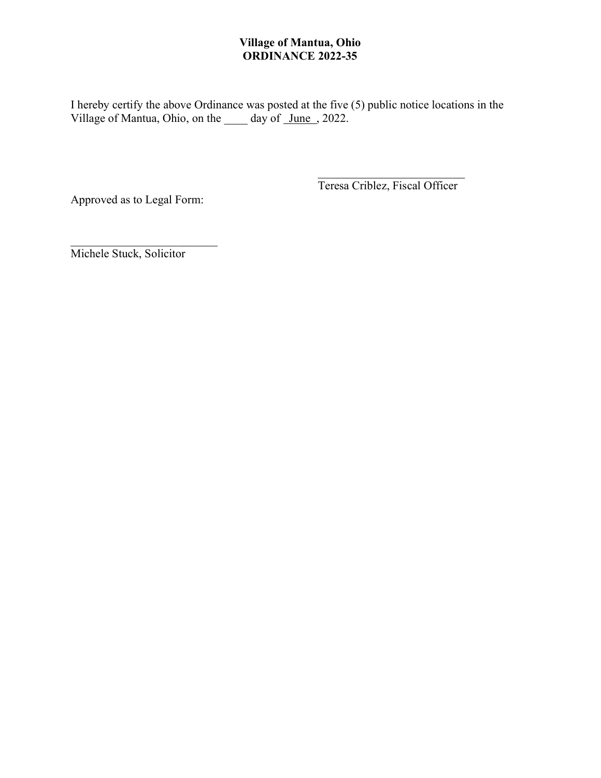I hereby certify the above Ordinance was posted at the five (5) public notice locations in the Village of Mantua, Ohio, on the \_\_\_\_\_ day of \_June , 2022.

Approved as to Legal Form:

Teresa Criblez, Fiscal Officer

Michele Stuck, Solicitor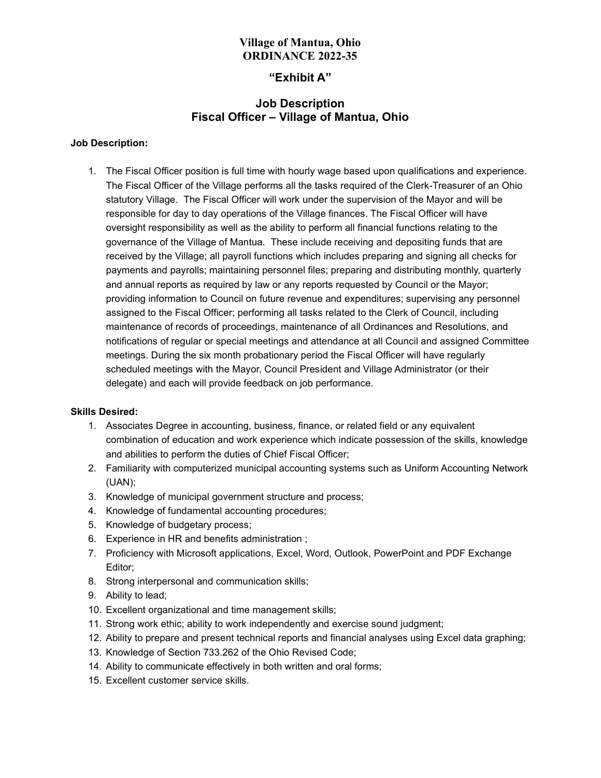### "Exhibit A"

## Job Description Fiscal Officer – Village of Mantua, Ohio

### Job Description:

1. The Fiscal Officer position is full time with hourly wage based upon qualifications and experience. The Fiscal Officer of the Village performs all the tasks required of the Clerk-Treasurer of an Ohio statutory Village. The Fiscal Officer will work under the supervision of the Mayor and will be responsible for day to day operations of the Village finances. The Fiscal Officer will have oversight responsibility as well as the ability to perform all financial functions relating to the governance of the Village of Mantua. These include receiving and depositing funds that are received by the Village; all payroll functions which includes preparing and signing all checks for payments and payrolls; maintaining personnel files; preparing and distributing monthly, quarterly and annual reports as required by law or any reports requested by Council or the Mayor; providing information to Council on future revenue and expenditures; supervising any personnel assigned to the Fiscal Officer; performing all tasks related to the Clerk of Council, including maintenance of records of proceedings, maintenance of all Ordinances and Resolutions, and notifications of regular or special meetings and attendance at all Council and assigned Committee meetings. During the six month probationary period the Fiscal Officer will have regularly scheduled meetings with the Mayor, Council President and Village Administrator (or their delegate) and each will provide feedback on job performance.

### Skills Desired:

- 1. Associates Degree in accounting, business, finance, or related field or any equivalent combination of education and work experience which indicate possession of the skills, knowledge and abilities to perform the duties of Chief Fiscal Officer;
- 2. Familiarity with computerized municipal accounting systems such as Uniform Accounting Network (UAN);
- 3. Knowledge of municipal government structure and process;
- 4. Knowledge of fundamental accounting procedures;
- 5. Knowledge of budgetary process;
- 6. Experience in HR and benefits administration ;
- 7. Proficiency with Microsoft applications, Excel, Word, Outlook, PowerPoint and PDF Exchange Editor;
- 8. Strong interpersonal and communication skills;
- 9. Ability to lead;
- 10. Excellent organizational and time management skills;
- 11. Strong work ethic; ability to work independently and exercise sound judgment;
- 12. Ability to prepare and present technical reports and financial analyses using Excel data graphing;
- 13. Knowledge of Section 733.262 of the Ohio Revised Code;
- 14. Ability to communicate effectively in both written and oral forms;
- 15. Excellent customer service skills.